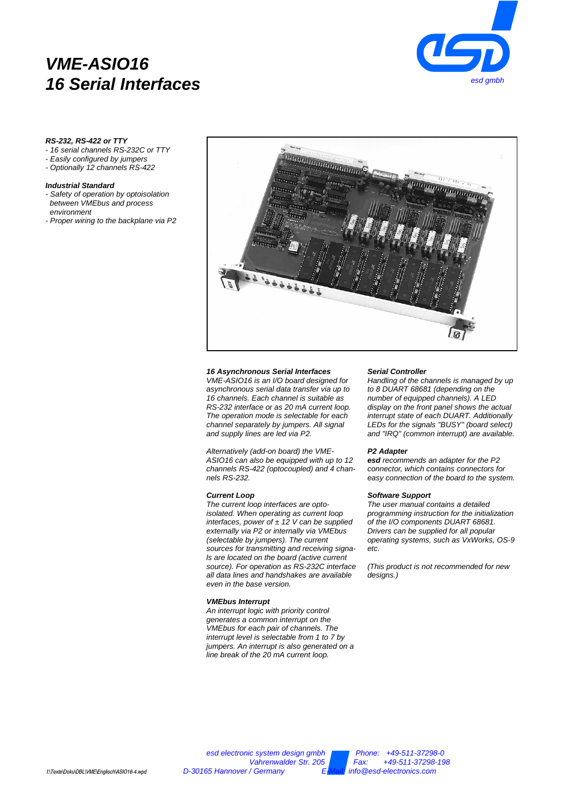# **VME-ASIO16 16 Serial Interfaces**



# **RS-232, RS-422 or TTY**

- 16 serial channels RS-232C or TTY
- Easily configured by jumpers
- Optionally 12 channels RS-422

# **Industrial Standard**

- Safety of operation by optoisolation between VMEbus and process environment
- Proper wiring to the backplane via P2



## **16 Asynchronous Serial Interfaces**

VME-ASIO16 is an I/O board designed for asynchronous serial data transfer via up to 16 channels. Each channel is suitable as RS-232 interface or as 20 mA current loop. The operation mode is selectable for each channel separately by jumpers. All signal and supply lines are led via P2.

Alternatively (add-on board) the VME-ASIO16 can also be equipped with up to 12 channels RS-422 (optocoupled) and 4 channels RS-232.

## **Current Loop**

The current loop interfaces are optoisolated. When operating as current loop interfaces, power of  $\pm$  12 V can be supplied externally via P2 or internally via VMEbus (selectable by jumpers). The current sources for transmitting and receiving signals are located on the board (active current source). For operation as RS-232C interface all data lines and handshakes are available even in the base version.

#### **VMEbus Interrupt**

An interrupt logic with priority control generates a common interrupt on the VMEbus for each pair of channels. The interrupt level is selectable from 1 to 7 by jumpers. An interrupt is also generated on a line break of the 20 mA current loop.

#### **Serial Controller**

Handling of the channels is managed by up to 8 DUART 68681 (depending on the number of equipped channels). A LED display on the front panel shows the actual interrupt state of each DUART. Additionally LEDs for the signals "BUSY" (board select) and "IRQ" (common interrupt) are available.

## **P2 Adapter**

**esd** recommends an adapter for the P2 connector, which contains connectors for easy connection of the board to the system.

## **Software Support**

The user manual contains a detailed programming instruction for the initialization of the I/O components DUART 68681. Drivers can be supplied for all popular operating systems, such as VxWorks, OS-9 etc.

(This product is not recommended for new designs.)